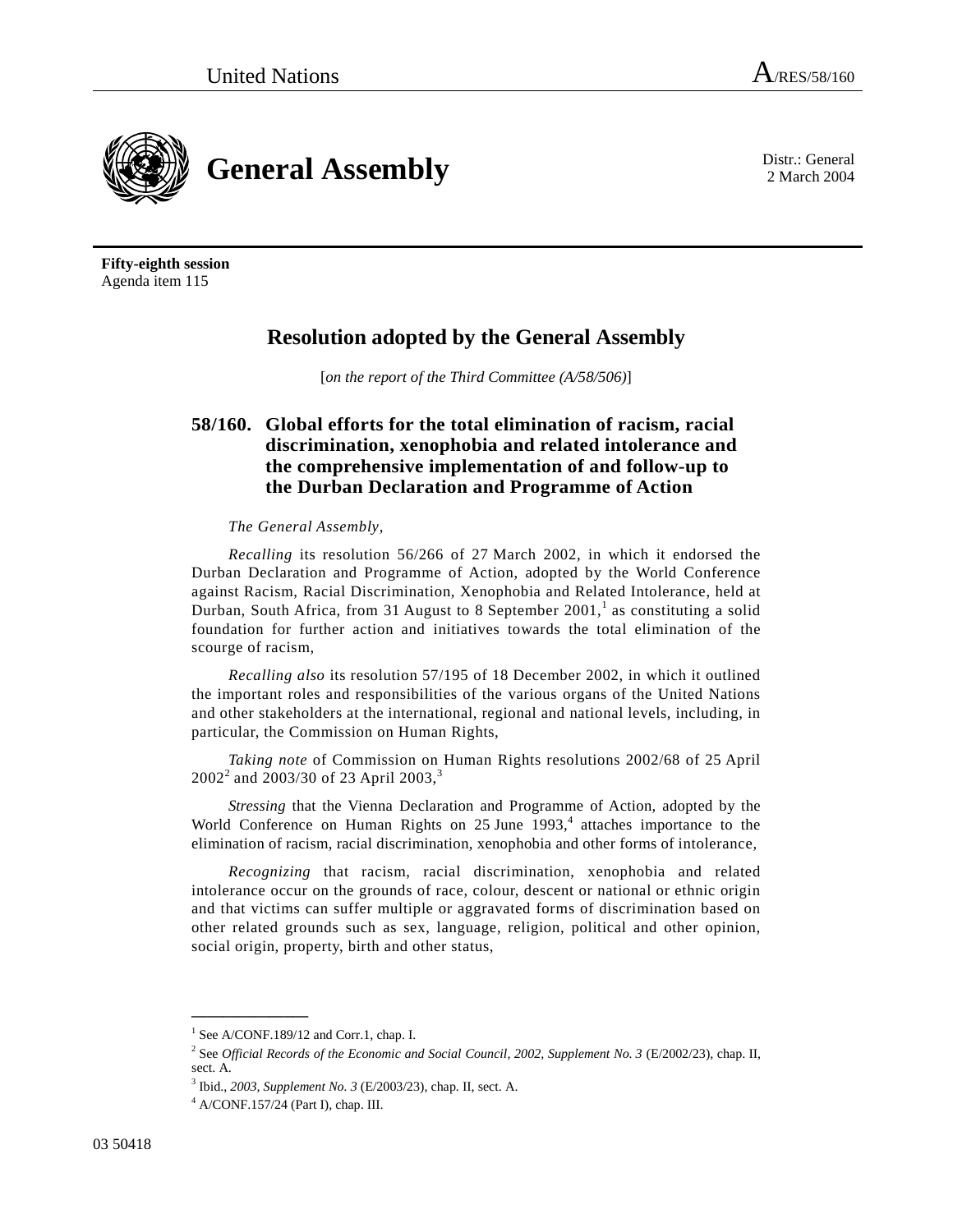2 March 2004



**Fifty-eighth session**  Agenda item 115

# **Resolution adopted by the General Assembly**

[*on the report of the Third Committee (A/58/506)*]

# **58/160. Global efforts for the total elimination of racism, racial discrimination, xenophobia and related intolerance and the comprehensive implementation of and follow-up to the Durban Declaration and Programme of Action**

# *The General Assembly*,

*Recalling* its resolution 56/266 of 27 March 2002, in which it endorsed the Durban Declaration and Programme of Action, adopted by the World Conference against Racism, Racial Discrimination, Xenophobia and Related Intolerance, held at Durban, South Africa, from 31 August to 8 September  $2001$ , as constituting a solid foundation for further action and initiatives towards the total elimination of the scourge of racism,

*Recalling also* its resolution 57/195 of 18 December 2002, in which it outlined the important roles and responsibilities of the various organs of the United Nations and other stakeholders at the international, regional and national levels, including, in particular, the Commission on Human Rights,

*Taking note* of Commission on Human Rights resolutions 2002/68 of 25 April  $2002<sup>2</sup>$  and  $2003/30$  of 23 April  $2003<sup>3</sup>$ 

*Stressing* that the Vienna Declaration and Programme of Action, adopted by the World Conference on Human Rights on 25 June 1993,<sup>4</sup> attaches importance to the elimination of racism, racial discrimination, xenophobia and other forms of intolerance,

*Recognizing* that racism, racial discrimination, xenophobia and related intolerance occur on the grounds of race, colour, descent or national or ethnic origin and that victims can suffer multiple or aggravated forms of discrimination based on other related grounds such as sex, language, religion, political and other opinion, social origin, property, birth and other status,

<sup>&</sup>lt;sup>1</sup> See A/CONF.189/12 and Corr.1, chap. I.

<sup>&</sup>lt;sup>2</sup> See *Official Records of the Economic and Social Council, 2002, Supplement No. 3* (E/2002/23), chap. II, sect. A.

<sup>&</sup>lt;sup>3</sup> Ibid., *2003, Supplement No. 3* (E/2003/23), chap. II, sect. A.  $^{4}$  A/CONE 157/24 (Port I), chap. III

A/CONF.157/24 (Part I), chap. III.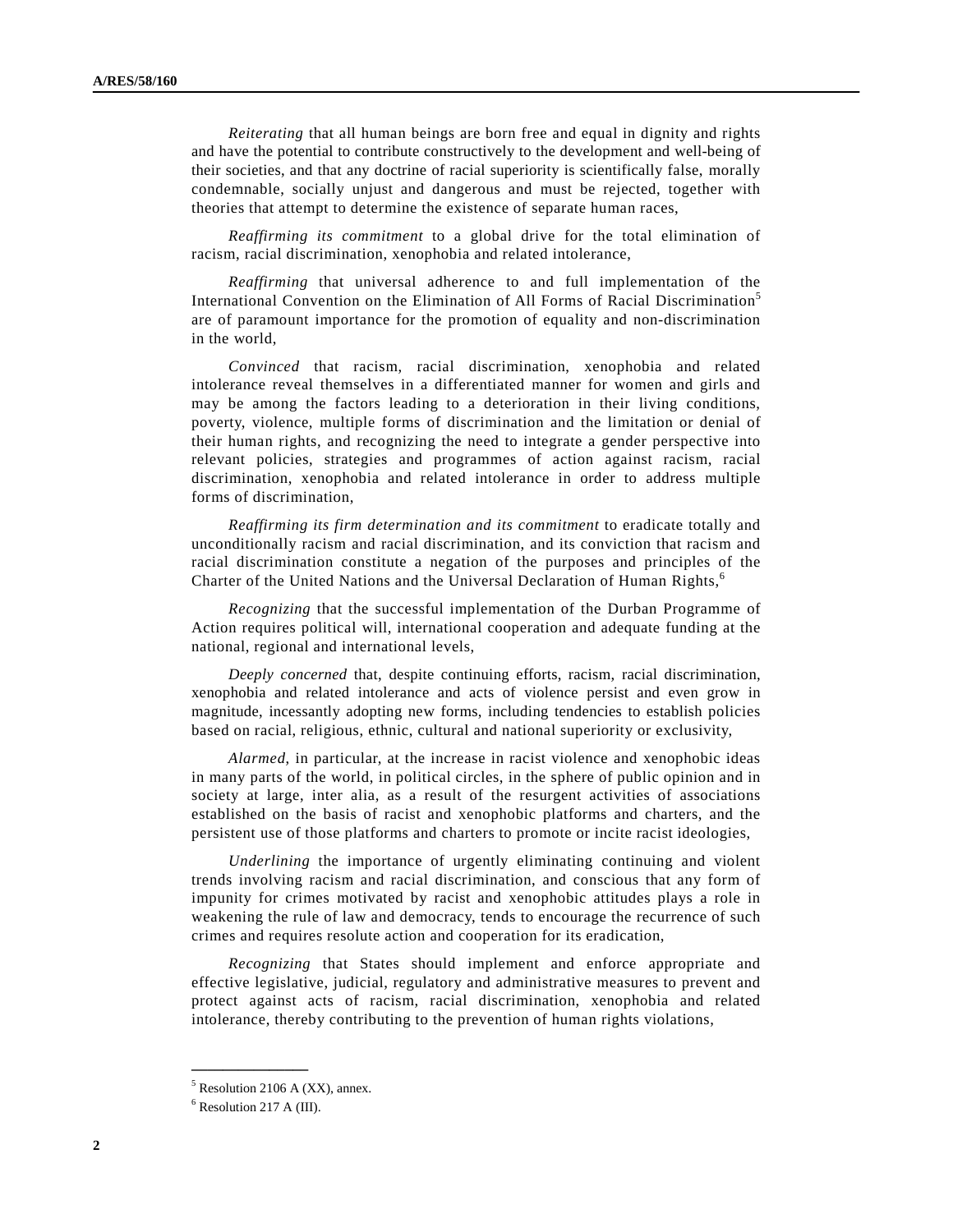*Reiterating* that all human beings are born free and equal in dignity and rights and have the potential to contribute constructively to the development and well-being of their societies, and that any doctrine of racial superiority is scientifically false, morally condemnable, socially unjust and dangerous and must be rejected, together with theories that attempt to determine the existence of separate human races,

*Reaffirming its commitment* to a global drive for the total elimination of racism, racial discrimination, xenophobia and related intolerance,

*Reaffirming* that universal adherence to and full implementation of the International Convention on the Elimination of All Forms of Racial Discrimination<sup>5</sup> are of paramount importance for the promotion of equality and non-discrimination in the world,

*Convinced* that racism, racial discrimination, xenophobia and related intolerance reveal themselves in a differentiated manner for women and girls and may be among the factors leading to a deterioration in their living conditions, poverty, violence, multiple forms of discrimination and the limitation or denial of their human rights, and recognizing the need to integrate a gender perspective into relevant policies, strategies and programmes of action against racism, racial discrimination, xenophobia and related intolerance in order to address multiple forms of discrimination,

*Reaffirming its firm determination and its commitment* to eradicate totally and unconditionally racism and racial discrimination, and its conviction that racism and racial discrimination constitute a negation of the purposes and principles of the Charter of the United Nations and the Universal Declaration of Human Rights,<sup>6</sup>

*Recognizing* that the successful implementation of the Durban Programme of Action requires political will, international cooperation and adequate funding at the national, regional and international levels,

*Deeply concerned* that, despite continuing efforts, racism, racial discrimination, xenophobia and related intolerance and acts of violence persist and even grow in magnitude, incessantly adopting new forms, including tendencies to establish policies based on racial, religious, ethnic, cultural and national superiority or exclusivity,

*Alarmed*, in particular, at the increase in racist violence and xenophobic ideas in many parts of the world, in political circles, in the sphere of public opinion and in society at large, inter alia, as a result of the resurgent activities of associations established on the basis of racist and xenophobic platforms and charters, and the persistent use of those platforms and charters to promote or incite racist ideologies,

*Underlining* the importance of urgently eliminating continuing and violent trends involving racism and racial discrimination, and conscious that any form of impunity for crimes motivated by racist and xenophobic attitudes plays a role in weakening the rule of law and democracy, tends to encourage the recurrence of such crimes and requires resolute action and cooperation for its eradication,

*Recognizing* that States should implement and enforce appropriate and effective legislative, judicial, regulatory and administrative measures to prevent and protect against acts of racism, racial discrimination, xenophobia and related intolerance, thereby contributing to the prevention of human rights violations,

 $<sup>5</sup>$  Resolution 2106 A (XX), annex.</sup>

<sup>6</sup> Resolution 217 A (III).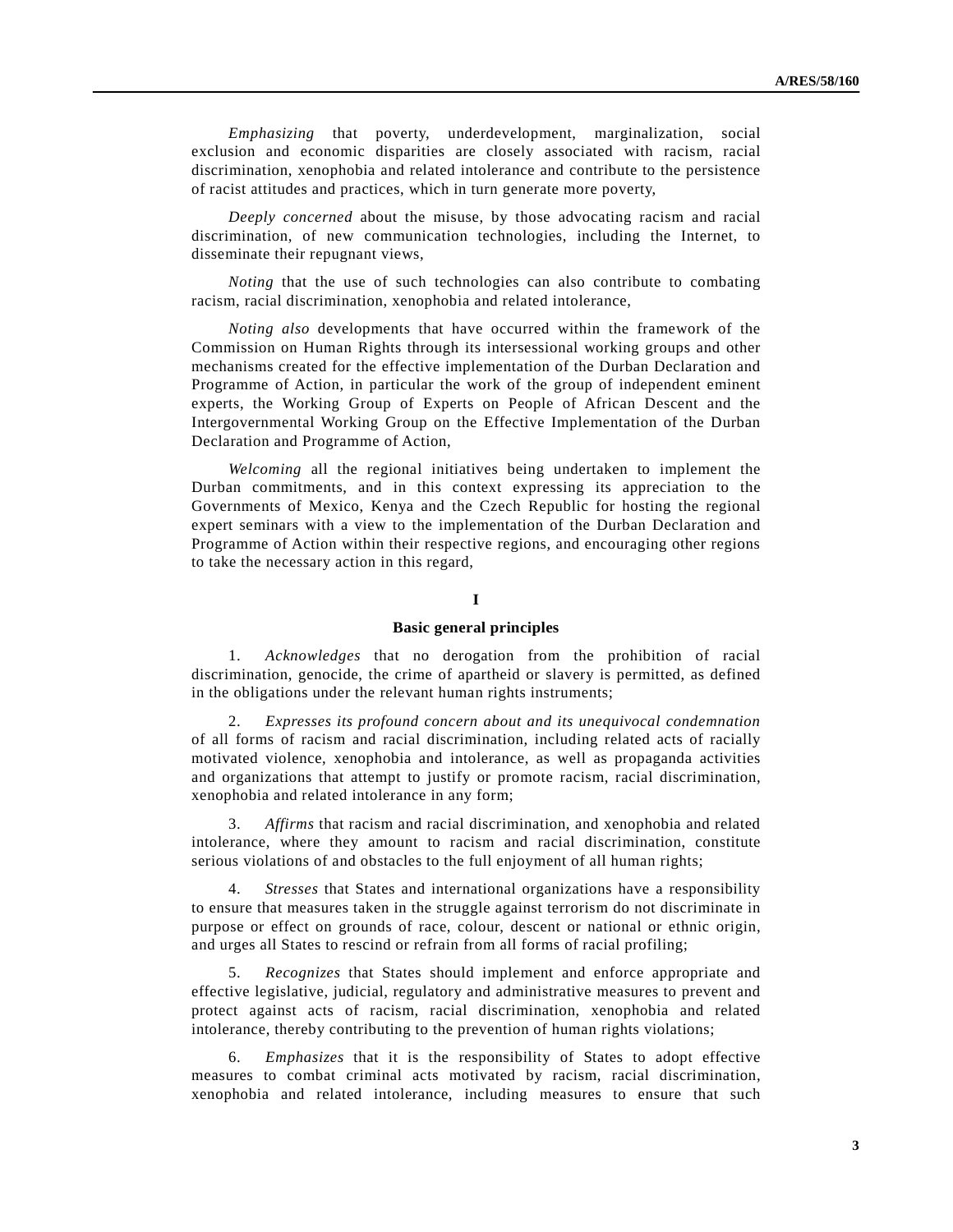*Emphasizing* that poverty, underdevelopment, marginalization, social exclusion and economic disparities are closely associated with racism, racial discrimination, xenophobia and related intolerance and contribute to the persistence of racist attitudes and practices, which in turn generate more poverty,

*Deeply concerned* about the misuse, by those advocating racism and racial discrimination, of new communication technologies, including the Internet, to disseminate their repugnant views,

*Noting* that the use of such technologies can also contribute to combating racism, racial discrimination, xenophobia and related intolerance,

*Noting also* developments that have occurred within the framework of the Commission on Human Rights through its intersessional working groups and other mechanisms created for the effective implementation of the Durban Declaration and Programme of Action, in particular the work of the group of independent eminent experts, the Working Group of Experts on People of African Descent and the Intergovernmental Working Group on the Effective Implementation of the Durban Declaration and Programme of Action,

*Welcoming* all the regional initiatives being undertaken to implement the Durban commitments, and in this context expressing its appreciation to the Governments of Mexico, Kenya and the Czech Republic for hosting the regional expert seminars with a view to the implementation of the Durban Declaration and Programme of Action within their respective regions, and encouraging other regions to take the necessary action in this regard,

# **I**

#### **Basic general principles**

 1. *Acknowledges* that no derogation from the prohibition of racial discrimination, genocide, the crime of apartheid or slavery is permitted, as defined in the obligations under the relevant human rights instruments;

 2. *Expresses its profound concern about and its unequivocal condemnation* of all forms of racism and racial discrimination, including related acts of racially motivated violence, xenophobia and intolerance, as well as propaganda activities and organizations that attempt to justify or promote racism, racial discrimination, xenophobia and related intolerance in any form;

 3. *Affirms* that racism and racial discrimination, and xenophobia and related intolerance, where they amount to racism and racial discrimination, constitute serious violations of and obstacles to the full enjoyment of all human rights;

 4. *Stresses* that States and international organizations have a responsibility to ensure that measures taken in the struggle against terrorism do not discriminate in purpose or effect on grounds of race, colour, descent or national or ethnic origin, and urges all States to rescind or refrain from all forms of racial profiling;

 5. *Recognizes* that States should implement and enforce appropriate and effective legislative, judicial, regulatory and administrative measures to prevent and protect against acts of racism, racial discrimination, xenophobia and related intolerance, thereby contributing to the prevention of human rights violations;

 6. *Emphasizes* that it is the responsibility of States to adopt effective measures to combat criminal acts motivated by racism, racial discrimination, xenophobia and related intolerance, including measures to ensure that such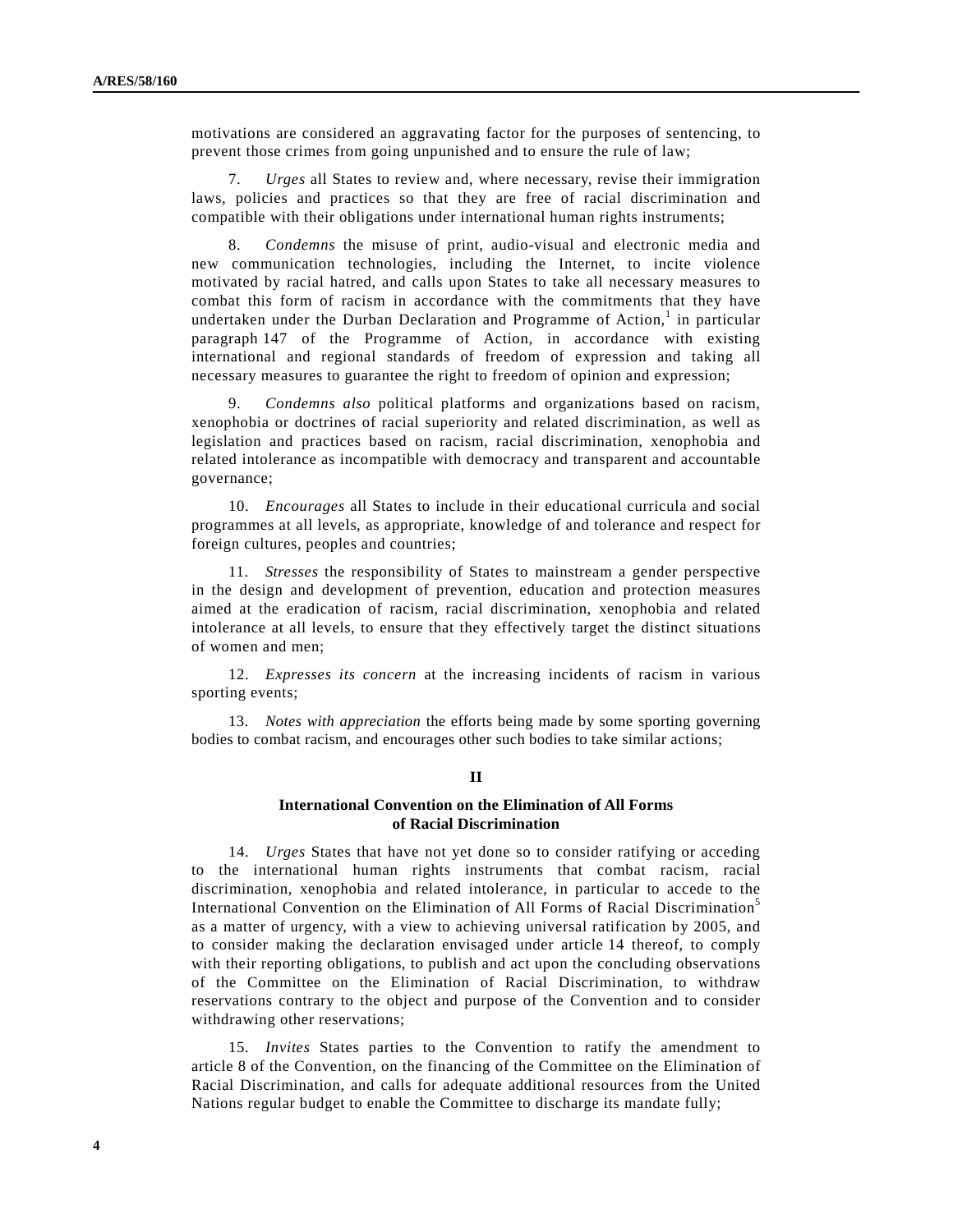motivations are considered an aggravating factor for the purposes of sentencing, to prevent those crimes from going unpunished and to ensure the rule of law;

 7. *Urges* all States to review and, where necessary, revise their immigration laws, policies and practices so that they are free of racial discrimination and compatible with their obligations under international human rights instruments;

 8. *Condemns* the misuse of print, audio-visual and electronic media and new communication technologies, including the Internet, to incite violence motivated by racial hatred, and calls upon States to take all necessary measures to combat this form of racism in accordance with the commitments that they have undertaken under the Durban Declaration and Programme of Action,<sup>1</sup> in particular paragraph 147 of the Programme of Action, in accordance with existing international and regional standards of freedom of expression and taking all necessary measures to guarantee the right to freedom of opinion and expression;

 9. *Condemns also* political platforms and organizations based on racism, xenophobia or doctrines of racial superiority and related discrimination, as well as legislation and practices based on racism, racial discrimination, xenophobia and related intolerance as incompatible with democracy and transparent and accountable governance;

 10. *Encourages* all States to include in their educational curricula and social programmes at all levels, as appropriate, knowledge of and tolerance and respect for foreign cultures, peoples and countries;

 11. *Stresses* the responsibility of States to mainstream a gender perspective in the design and development of prevention, education and protection measures aimed at the eradication of racism, racial discrimination, xenophobia and related intolerance at all levels, to ensure that they effectively target the distinct situations of women and men;

 12. *Expresses its concern* at the increasing incidents of racism in various sporting events;

 13. *Notes with appreciation* the efforts being made by some sporting governing bodies to combat racism, and encourages other such bodies to take similar actions;

### **II**

# **International Convention on the Elimination of All Forms of Racial Discrimination**

 14. *Urges* States that have not yet done so to consider ratifying or acceding to the international human rights instruments that combat racism, racial discrimination, xenophobia and related intolerance, in particular to accede to the International Convention on the Elimination of All Forms of Racial Discrimination<sup>5</sup> as a matter of urgency, with a view to achieving universal ratification by 2005, and to consider making the declaration envisaged under article 14 thereof, to comply with their reporting obligations, to publish and act upon the concluding observations of the Committee on the Elimination of Racial Discrimination, to withdraw reservations contrary to the object and purpose of the Convention and to consider withdrawing other reservations;

 15. *Invites* States parties to the Convention to ratify the amendment to article 8 of the Convention, on the financing of the Committee on the Elimination of Racial Discrimination, and calls for adequate additional resources from the United Nations regular budget to enable the Committee to discharge its mandate fully;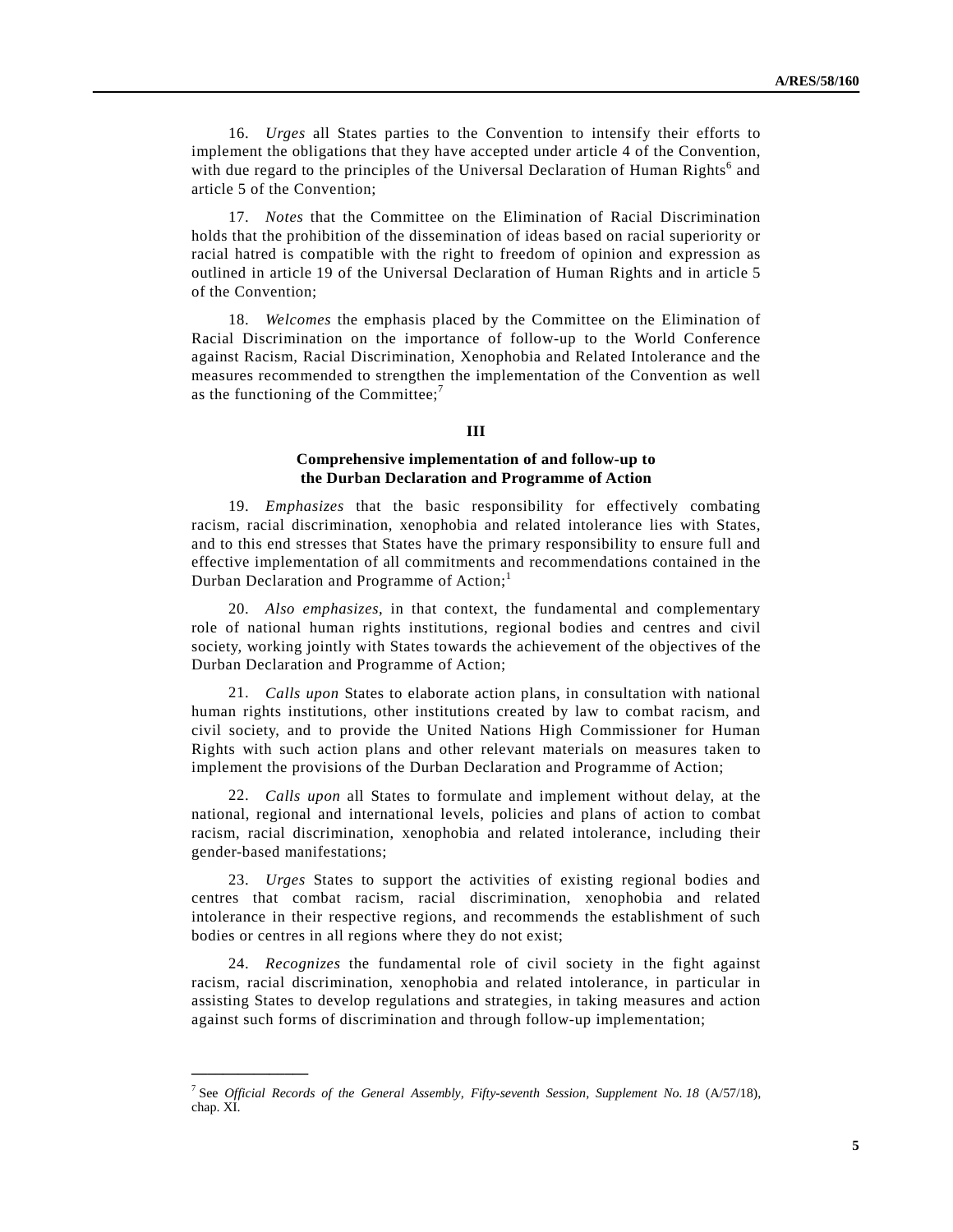16. *Urges* all States parties to the Convention to intensify their efforts to implement the obligations that they have accepted under article 4 of the Convention, with due regard to the principles of the Universal Declaration of Human Rights<sup>6</sup> and article 5 of the Convention;

 17. *Notes* that the Committee on the Elimination of Racial Discrimination holds that the prohibition of the dissemination of ideas based on racial superiority or racial hatred is compatible with the right to freedom of opinion and expression as outlined in article 19 of the Universal Declaration of Human Rights and in article 5 of the Convention;

 18. *Welcomes* the emphasis placed by the Committee on the Elimination of Racial Discrimination on the importance of follow-up to the World Conference against Racism, Racial Discrimination, Xenophobia and Related Intolerance and the measures recommended to strengthen the implementation of the Convention as well as the functioning of the Committee; $<sup>7</sup>$ </sup>

#### **III**

### **Comprehensive implementation of and follow-up to the Durban Declaration and Programme of Action**

 19. *Emphasizes* that the basic responsibility for effectively combating racism, racial discrimination, xenophobia and related intolerance lies with States, and to this end stresses that States have the primary responsibility to ensure full and effective implementation of all commitments and recommendations contained in the Durban Declaration and Programme of Action;<sup>1</sup>

 20. *Also emphasizes*, in that context, the fundamental and complementary role of national human rights institutions, regional bodies and centres and civil society, working jointly with States towards the achievement of the objectives of the Durban Declaration and Programme of Action;

 21. *Calls upon* States to elaborate action plans, in consultation with national human rights institutions, other institutions created by law to combat racism, and civil society, and to provide the United Nations High Commissioner for Human Rights with such action plans and other relevant materials on measures taken to implement the provisions of the Durban Declaration and Programme of Action;

 22. *Calls upon* all States to formulate and implement without delay, at the national, regional and international levels, policies and plans of action to combat racism, racial discrimination, xenophobia and related intolerance, including their gender-based manifestations;

 23. *Urges* States to support the activities of existing regional bodies and centres that combat racism, racial discrimination, xenophobia and related intolerance in their respective regions, and recommends the establishment of such bodies or centres in all regions where they do not exist;

 24. *Recognizes* the fundamental role of civil society in the fight against racism, racial discrimination, xenophobia and related intolerance, in particular in assisting States to develop regulations and strategies, in taking measures and action against such forms of discrimination and through follow-up implementation;

<sup>7</sup> See *Official Records of the General Assembly, Fifty-seventh Session, Supplement No. 18* (A/57/18), chap. XI.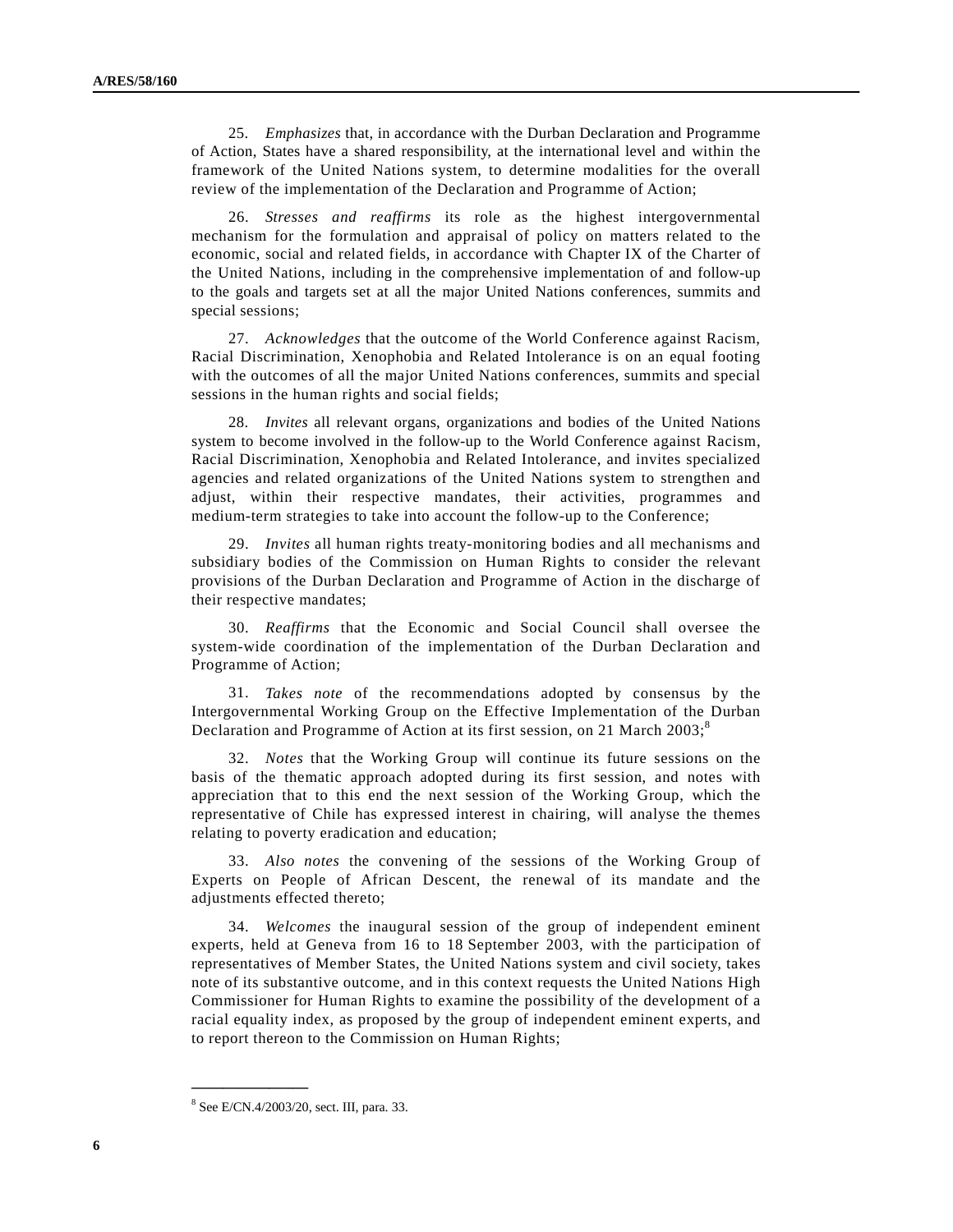25. *Emphasizes* that, in accordance with the Durban Declaration and Programme of Action, States have a shared responsibility, at the international level and within the framework of the United Nations system, to determine modalities for the overall review of the implementation of the Declaration and Programme of Action;

 26. *Stresses and reaffirms* its role as the highest intergovernmental mechanism for the formulation and appraisal of policy on matters related to the economic, social and related fields, in accordance with Chapter IX of the Charter of the United Nations, including in the comprehensive implementation of and follow-up to the goals and targets set at all the major United Nations conferences, summits and special sessions;

 27. *Acknowledges* that the outcome of the World Conference against Racism, Racial Discrimination, Xenophobia and Related Intolerance is on an equal footing with the outcomes of all the major United Nations conferences, summits and special sessions in the human rights and social fields;

 28. *Invites* all relevant organs, organizations and bodies of the United Nations system to become involved in the follow-up to the World Conference against Racism, Racial Discrimination, Xenophobia and Related Intolerance, and invites specialized agencies and related organizations of the United Nations system to strengthen and adjust, within their respective mandates, their activities, programmes and medium-term strategies to take into account the follow-up to the Conference;

 29. *Invites* all human rights treaty-monitoring bodies and all mechanisms and subsidiary bodies of the Commission on Human Rights to consider the relevant provisions of the Durban Declaration and Programme of Action in the discharge of their respective mandates;

 30. *Reaffirms* that the Economic and Social Council shall oversee the system-wide coordination of the implementation of the Durban Declaration and Programme of Action;

 31. *Takes note* of the recommendations adopted by consensus by the Intergovernmental Working Group on the Effective Implementation of the Durban Declaration and Programme of Action at its first session, on 21 March  $2003$ ;<sup>8</sup>

 32. *Notes* that the Working Group will continue its future sessions on the basis of the thematic approach adopted during its first session, and notes with appreciation that to this end the next session of the Working Group, which the representative of Chile has expressed interest in chairing, will analyse the themes relating to poverty eradication and education;

 33. *Also notes* the convening of the sessions of the Working Group of Experts on People of African Descent, the renewal of its mandate and the adjustments effected thereto;

 34. *Welcomes* the inaugural session of the group of independent eminent experts, held at Geneva from 16 to 18 September 2003, with the participation of representatives of Member States, the United Nations system and civil society, takes note of its substantive outcome, and in this context requests the United Nations High Commissioner for Human Rights to examine the possibility of the development of a racial equality index, as proposed by the group of independent eminent experts, and to report thereon to the Commission on Human Rights;

<sup>8</sup> See E/CN.4/2003/20, sect. III, para. 33.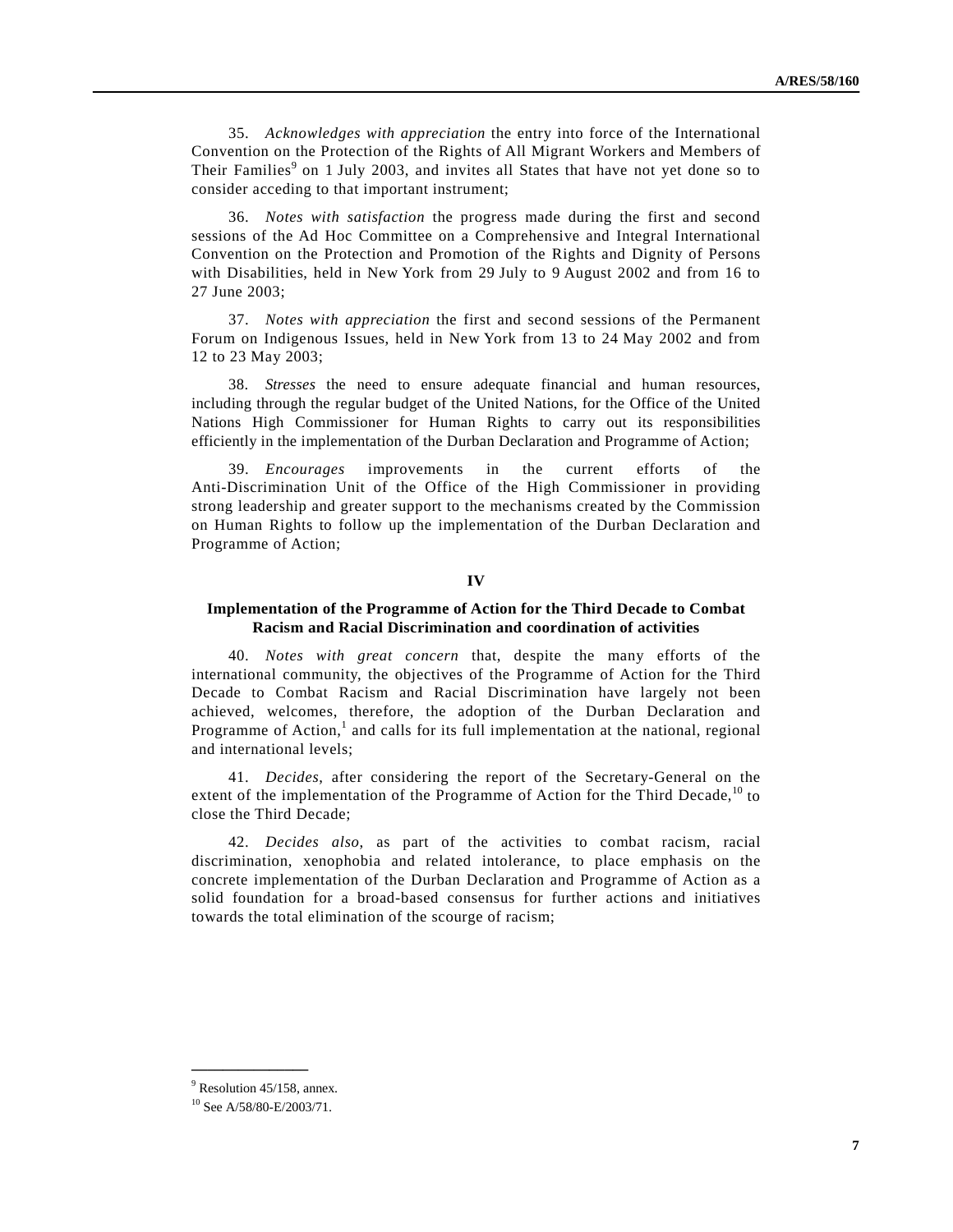35. *Acknowledges with appreciation* the entry into force of the International Convention on the Protection of the Rights of All Migrant Workers and Members of Their Families<sup>9</sup> on 1 July 2003, and invites all States that have not yet done so to consider acceding to that important instrument;

 36. *Notes with satisfaction* the progress made during the first and second sessions of the Ad Hoc Committee on a Comprehensive and Integral International Convention on the Protection and Promotion of the Rights and Dignity of Persons with Disabilities, held in New York from 29 July to 9 August 2002 and from 16 to 27 June 2003;

 37. *Notes with appreciation* the first and second sessions of the Permanent Forum on Indigenous Issues, held in New York from 13 to 24 May 2002 and from 12 to 23 May 2003;

 38. *Stresses* the need to ensure adequate financial and human resources, including through the regular budget of the United Nations, for the Office of the United Nations High Commissioner for Human Rights to carry out its responsibilities efficiently in the implementation of the Durban Declaration and Programme of Action;

 39. *Encourages* improvements in the current efforts of the Anti-Discrimination Unit of the Office of the High Commissioner in providing strong leadership and greater support to the mechanisms created by the Commission on Human Rights to follow up the implementation of the Durban Declaration and Programme of Action;

# **IV**

### **Implementation of the Programme of Action for the Third Decade to Combat Racism and Racial Discrimination and coordination of activities**

 40. *Notes with great concern* that, despite the many efforts of the international community, the objectives of the Programme of Action for the Third Decade to Combat Racism and Racial Discrimination have largely not been achieved, welcomes, therefore, the adoption of the Durban Declaration and Programme of Action,<sup>1</sup> and calls for its full implementation at the national, regional and international levels;

 41. *Decides*, after considering the report of the Secretary-General on the extent of the implementation of the Programme of Action for the Third Decade,<sup>10</sup> to close the Third Decade;

 42. *Decides also*, as part of the activities to combat racism, racial discrimination, xenophobia and related intolerance, to place emphasis on the concrete implementation of the Durban Declaration and Programme of Action as a solid foundation for a broad-based consensus for further actions and initiatives towards the total elimination of the scourge of racism;

<sup>&</sup>lt;sup>9</sup> Resolution 45/158, annex.

<sup>10</sup> See A/58/80-E/2003/71.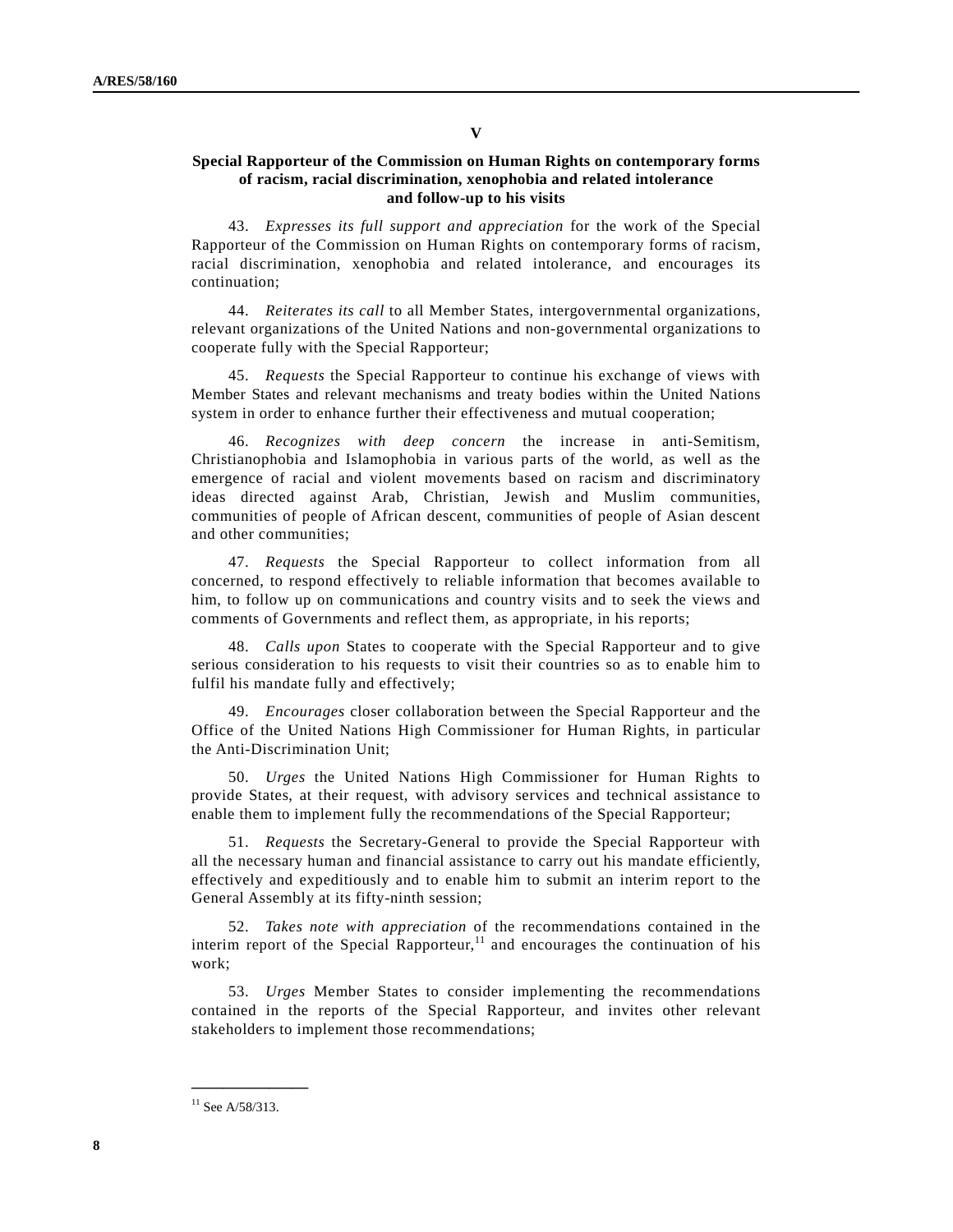# **Special Rapporteur of the Commission on Human Rights on contemporary forms of racism, racial discrimination, xenophobia and related intolerance and follow-up to his visits**

 43. *Expresses its full support and appreciation* for the work of the Special Rapporteur of the Commission on Human Rights on contemporary forms of racism, racial discrimination, xenophobia and related intolerance, and encourages its continuation;

 44. *Reiterates its call* to all Member States, intergovernmental organizations, relevant organizations of the United Nations and non-governmental organizations to cooperate fully with the Special Rapporteur;

 45. *Requests* the Special Rapporteur to continue his exchange of views with Member States and relevant mechanisms and treaty bodies within the United Nations system in order to enhance further their effectiveness and mutual cooperation;

 46. *Recognizes with deep concern* the increase in anti-Semitism, Christianophobia and Islamophobia in various parts of the world, as well as the emergence of racial and violent movements based on racism and discriminatory ideas directed against Arab, Christian, Jewish and Muslim communities, communities of people of African descent, communities of people of Asian descent and other communities;

 47. *Requests* the Special Rapporteur to collect information from all concerned, to respond effectively to reliable information that becomes available to him, to follow up on communications and country visits and to seek the views and comments of Governments and reflect them, as appropriate, in his reports;

 48. *Calls upon* States to cooperate with the Special Rapporteur and to give serious consideration to his requests to visit their countries so as to enable him to fulfil his mandate fully and effectively;

 49. *Encourages* closer collaboration between the Special Rapporteur and the Office of the United Nations High Commissioner for Human Rights, in particular the Anti-Discrimination Unit;

 50. *Urges* the United Nations High Commissioner for Human Rights to provide States, at their request, with advisory services and technical assistance to enable them to implement fully the recommendations of the Special Rapporteur;

 51. *Requests* the Secretary-General to provide the Special Rapporteur with all the necessary human and financial assistance to carry out his mandate efficiently, effectively and expeditiously and to enable him to submit an interim report to the General Assembly at its fifty-ninth session;

 52. *Takes note with appreciation* of the recommendations contained in the interim report of the Special Rapporteur,<sup>11</sup> and encourages the continuation of his work;

 53. *Urges* Member States to consider implementing the recommendations contained in the reports of the Special Rapporteur, and invites other relevant stakeholders to implement those recommendations;

 $11$  See A/58/313.